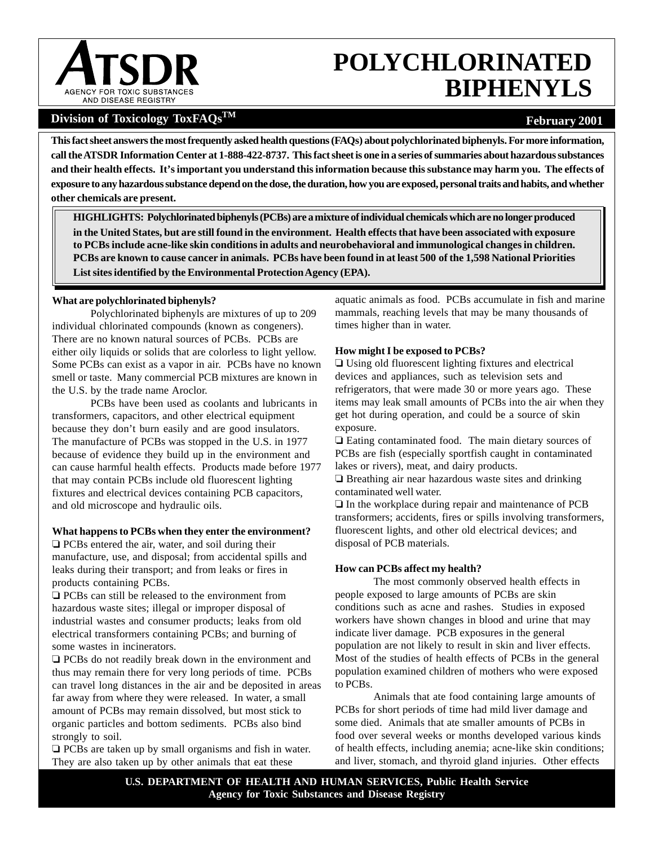

# **POLYCHLORINATED BIPHENYLS**

# Division of Toxicology ToxFAQs<sup>TM</sup> **February 2001 February 2001**

 **call the ATSDR Information Center at 1-888-422-8737. This fact sheet is one in a series of summaries about hazardous substances and their health effects. It's important you understand this information because this substance may harm you. The effects of This fact sheet answers the most frequently asked health questions (FAQs) about polychlorinated biphenyls. For more information, exposure to any hazardous substance depend on the dose, the duration, how you are exposed, personal traits and habits, and whether other chemicals are present.** 

**HIGHLIGHTS: Polychlorinated biphenyls (PCBs) are a mixture of individual chemicals which are no longer produced in the United States, but are still found in the environment. Health effects that have been associated with exposure to PCBs include acne-like skin conditions in adults and neurobehavioral and immunological changes in children. PCBs are known to cause cancer in animals. PCBs have been found in at least 500 of the 1,598 National Priorities List sites identified by the Environmental Protection Agency (EPA).** 

# **What are polychlorinated biphenyls?**

Polychlorinated biphenyls are mixtures of up to 209 individual chlorinated compounds (known as congeners). There are no known natural sources of PCBs. PCBs are either oily liquids or solids that are colorless to light yellow. Some PCBs can exist as a vapor in air. PCBs have no known smell or taste. Many commercial PCB mixtures are known in the U.S. by the trade name Aroclor.

PCBs have been used as coolants and lubricants in transformers, capacitors, and other electrical equipment because they don't burn easily and are good insulators. The manufacture of PCBs was stopped in the U.S. in 1977 because of evidence they build up in the environment and can cause harmful health effects. Products made before 1977 that may contain PCBs include old fluorescent lighting fixtures and electrical devices containing PCB capacitors, and old microscope and hydraulic oils.

## **What happens to PCBs when they enter the environment?**

 $\Box$  PCBs entered the air, water, and soil during their manufacture, use, and disposal; from accidental spills and leaks during their transport; and from leaks or fires in products containing PCBs.

 $\Box$  PCBs can still be released to the environment from hazardous waste sites; illegal or improper disposal of industrial wastes and consumer products; leaks from old electrical transformers containing PCBs; and burning of some wastes in incinerators.

 $\Box$  PCBs do not readily break down in the environment and thus may remain there for very long periods of time. PCBs can travel long distances in the air and be deposited in areas far away from where they were released. In water, a small amount of PCBs may remain dissolved, but most stick to organic particles and bottom sediments. PCBs also bind strongly to soil.

 $\Box$  PCBs are taken up by small organisms and fish in water. They are also taken up by other animals that eat these

aquatic animals as food. PCBs accumulate in fish and marine mammals, reaching levels that may be many thousands of times higher than in water.

# **How might I be exposed to PCBs?**

 $\Box$  Using old fluorescent lighting fixtures and electrical devices and appliances, such as television sets and refrigerators, that were made 30 or more years ago. These items may leak small amounts of PCBs into the air when they get hot during operation, and could be a source of skin exposure.

 $\Box$  Eating contaminated food. The main dietary sources of PCBs are fish (especially sportfish caught in contaminated lakes or rivers), meat, and dairy products.

 $\Box$  Breathing air near hazardous waste sites and drinking contaminated well water.

 $\Box$  In the workplace during repair and maintenance of PCB transformers; accidents, fires or spills involving transformers, fluorescent lights, and other old electrical devices; and disposal of PCB materials.

# **How can PCBs affect my health?**

The most commonly observed health effects in people exposed to large amounts of PCBs are skin conditions such as acne and rashes. Studies in exposed workers have shown changes in blood and urine that may indicate liver damage. PCB exposures in the general population are not likely to result in skin and liver effects. Most of the studies of health effects of PCBs in the general population examined children of mothers who were exposed to PCBs.

Animals that ate food containing large amounts of PCBs for short periods of time had mild liver damage and some died. Animals that ate smaller amounts of PCBs in food over several weeks or months developed various kinds of health effects, including anemia; acne-like skin conditions; and liver, stomach, and thyroid gland injuries. Other effects